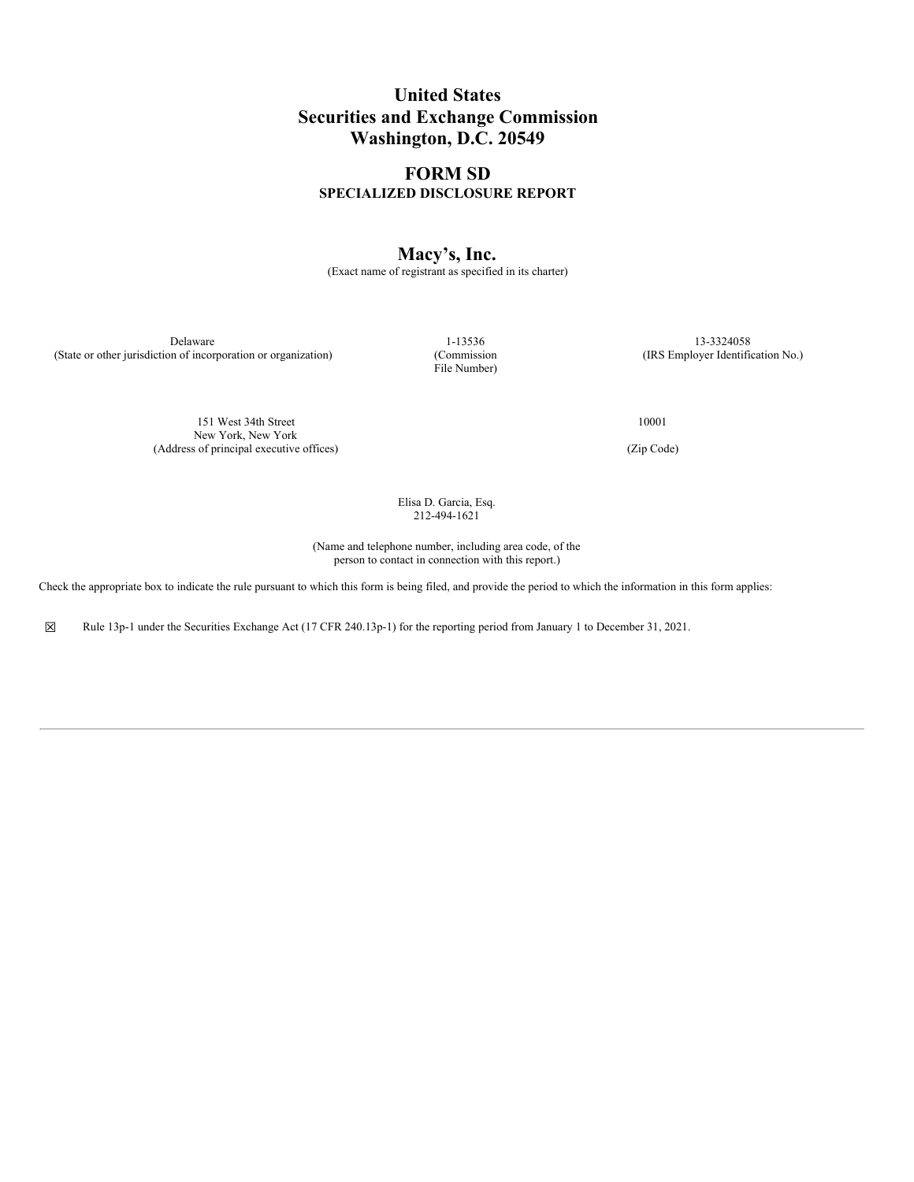# **United States Securities and Exchange Commission Washington, D.C. 20549**

## **FORM SD SPECIALIZED DISCLOSURE REPORT**

## **Macy's, Inc.**

(Exact name of registrant as specified in its charter)

(State or other jurisdiction of incorporation or organization) (Commission

File Number)

Delaware 1-13536 13-3324058 (IRS Employer Identification No.)

151 West 34th Street New York, New York (Address of principal executive offices) (Zip Code)

10001

Elisa D. Garcia, Esq. 212-494-1621

(Name and telephone number, including area code, of the person to contact in connection with this report.)

Check the appropriate box to indicate the rule pursuant to which this form is being filed, and provide the period to which the information in this form applies:

☒ Rule 13p-1 under the Securities Exchange Act (17 CFR 240.13p-1) for the reporting period from January 1 to December 31, 2021.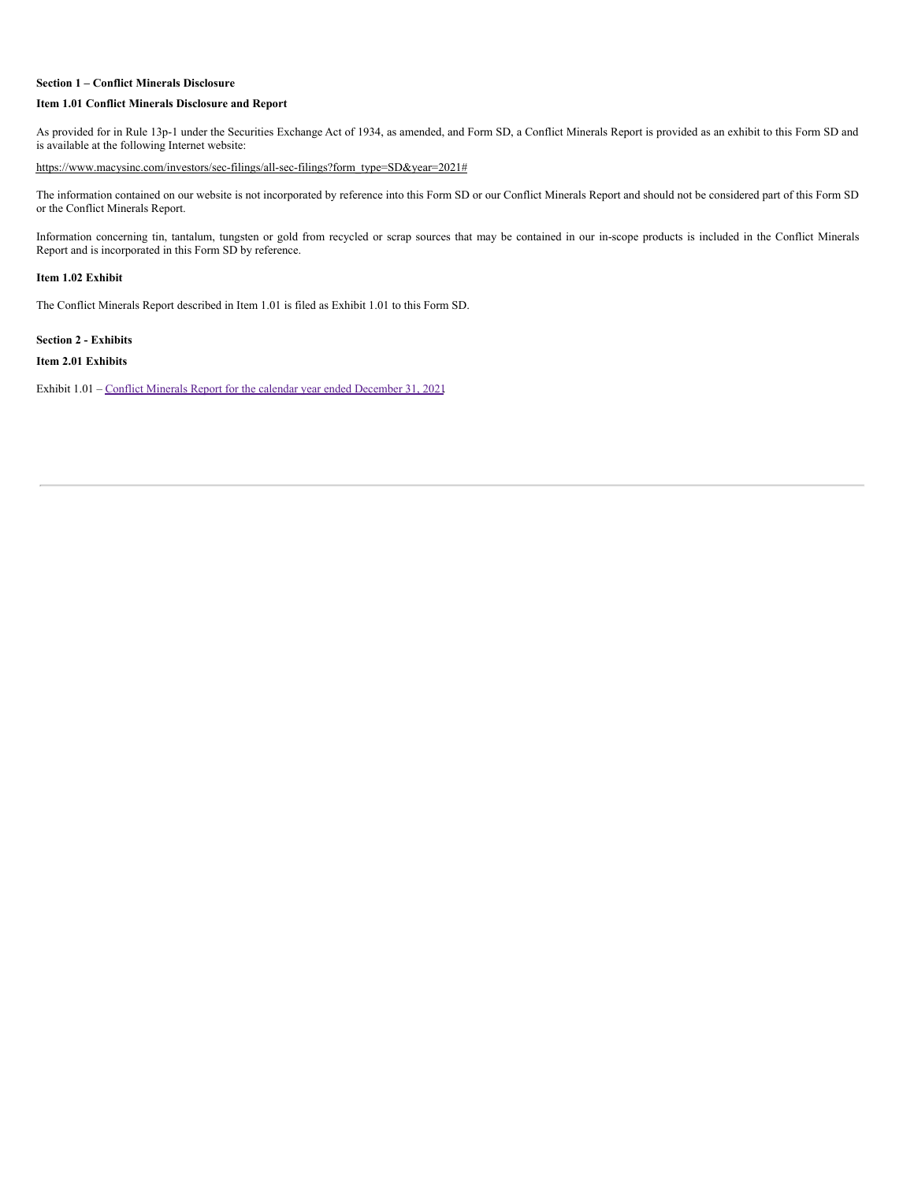## **Section 1 – Conflict Minerals Disclosure**

## **Item 1.01 Conflict Minerals Disclosure and Report**

As provided for in Rule 13p-1 under the Securities Exchange Act of 1934, as amended, and Form SD, a Conflict Minerals Report is provided as an exhibit to this Form SD and is available at the following Internet website:

https://www.macysinc.com/investors/sec-filings/all-sec-filings?form\_type=SD&year=2021#

The information contained on our website is not incorporated by reference into this Form SD or our Conflict Minerals Report and should not be considered part of this Form SD or the Conflict Minerals Report.

Information concerning tin, tantalum, tungsten or gold from recycled or scrap sources that may be contained in our in-scope products is included in the Conflict Minerals Report and is incorporated in this Form SD by reference.

## **Item 1.02 Exhibit**

The Conflict Minerals Report described in Item 1.01 is filed as Exhibit 1.01 to this Form SD.

#### **Section 2 - Exhibits**

## **Item 2.01 Exhibits**

Exhibit 1.01 – Conflict Minerals Report for the calendar year ended [December](#page-8-0) 31, 2021.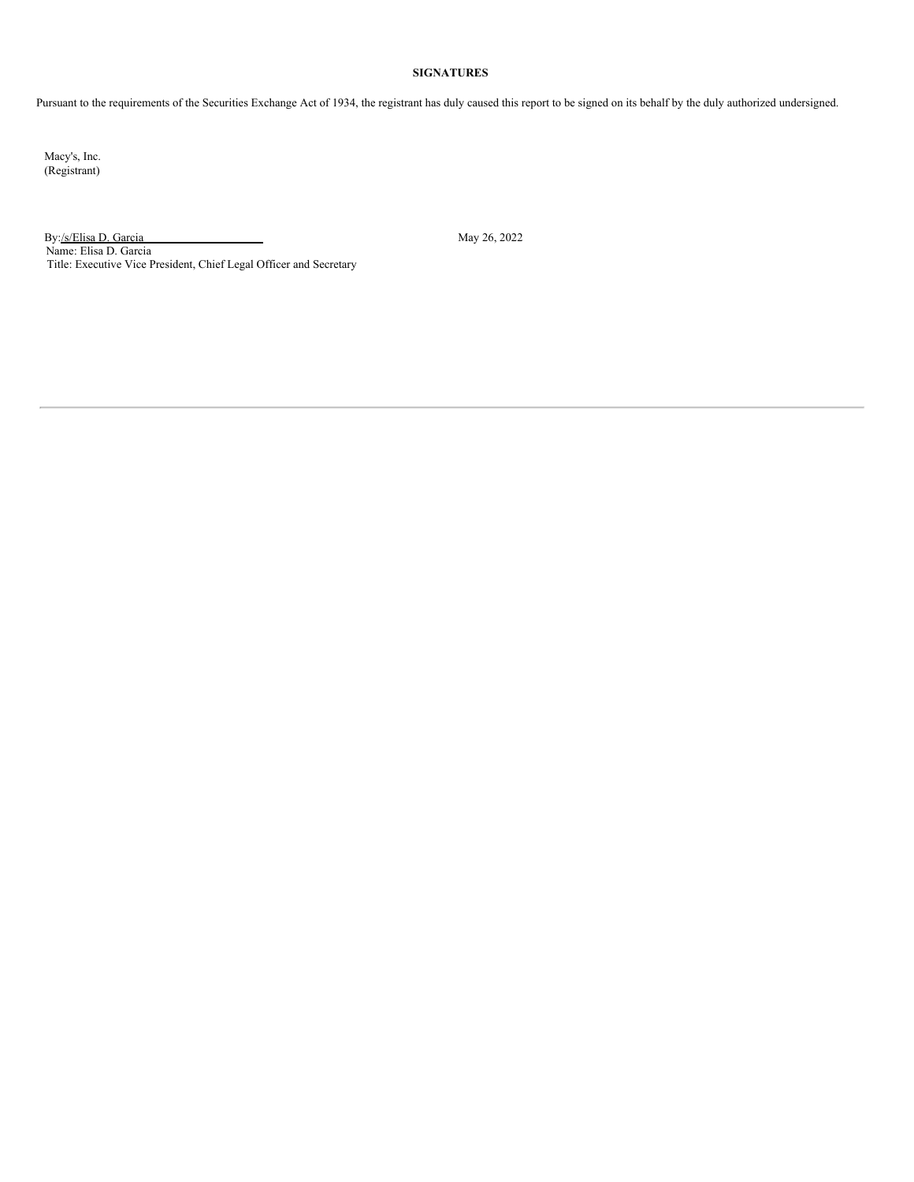## **SIGNATURES**

Pursuant to the requirements of the Securities Exchange Act of 1934, the registrant has duly caused this report to be signed on its behalf by the duly authorized undersigned.

Macy's, Inc. (Registrant)

By:/s/Elisa D. Garcia May 26, 2022 Name: Elisa D. Garcia Title: Executive Vice President, Chief Legal Officer and Secretary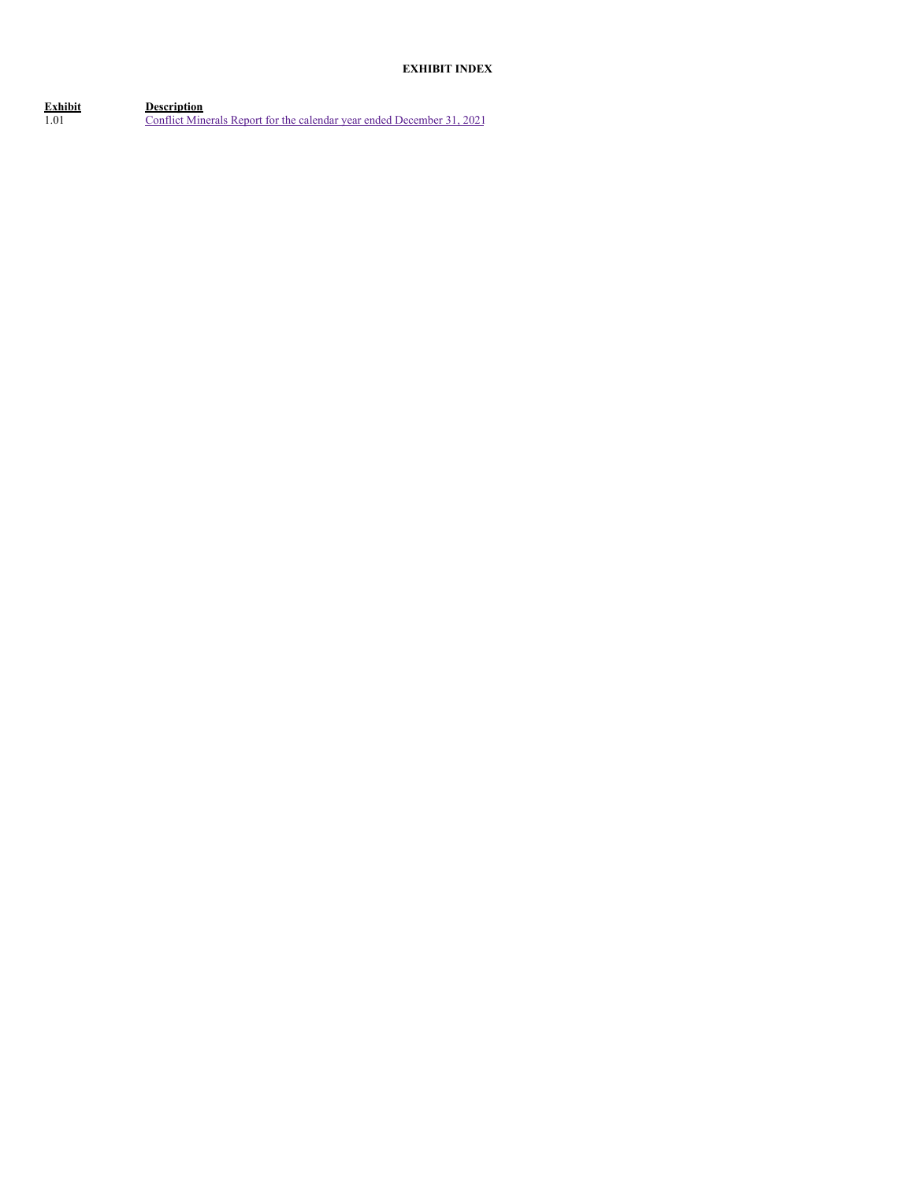## **EXHIBIT INDEX**

**Exhibit Description** 1.01 Conflict Minerals Report for the calendar year ended [December](#page-8-0) 31, 2021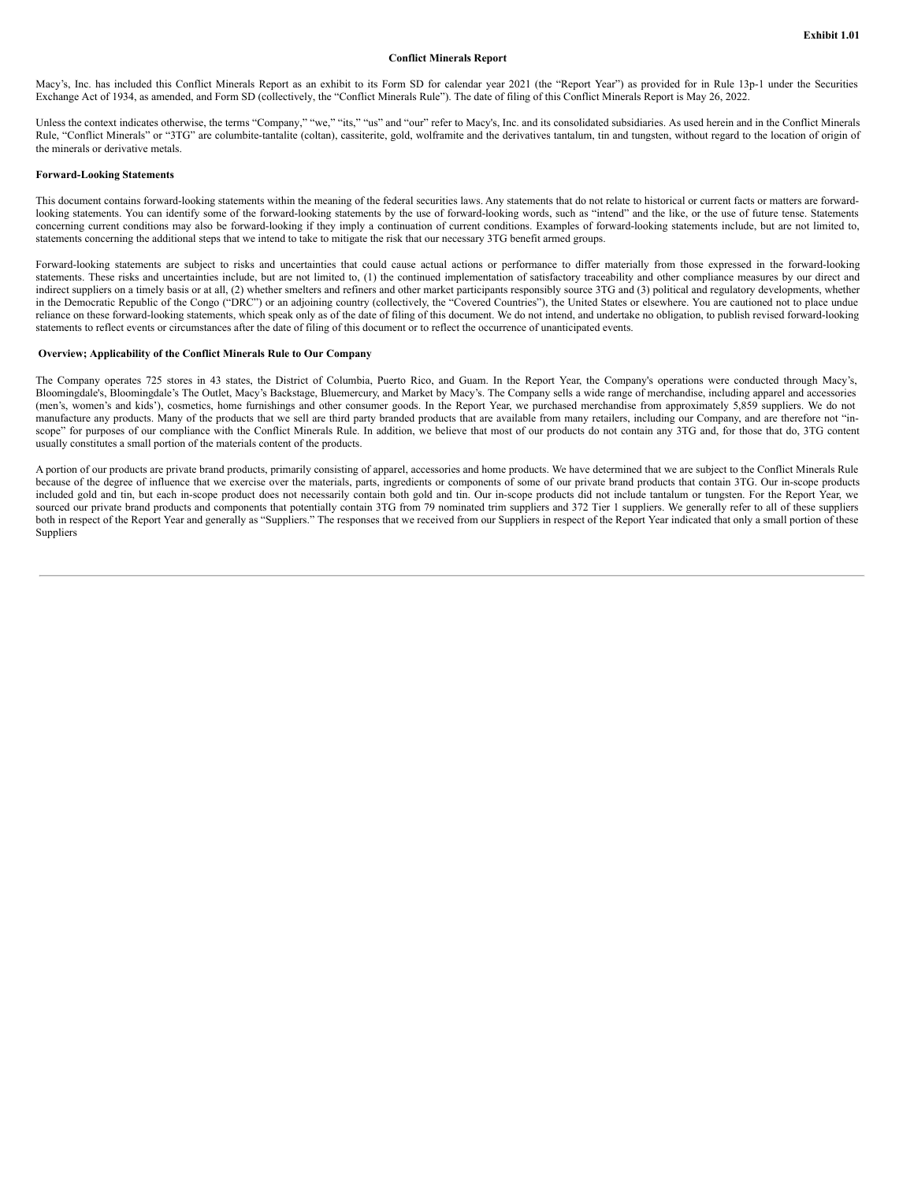#### **Conflict Minerals Report**

Macy's, Inc. has included this Conflict Minerals Report as an exhibit to its Form SD for calendar year 2021 (the "Report Year") as provided for in Rule 13p-1 under the Securities Exchange Act of 1934, as amended, and Form SD (collectively, the "Conflict Minerals Rule"). The date of filing of this Conflict Minerals Report is May 26, 2022.

Unless the context indicates otherwise, the terms "Company," "we," "its," "us" and "our" refer to Macy's, Inc. and its consolidated subsidiaries. As used herein and in the Conflict Minerals Rule, "Conflict Minerals" or "3TG" are columbite-tantalite (coltan), cassiterite, gold, wolframite and the derivatives tantalum, tin and tungsten, without regard to the location of origin of the minerals or derivative metals.

#### **Forward-Looking Statements**

This document contains forward-looking statements within the meaning of the federal securities laws. Any statements that do not relate to historical or current facts or matters are forwardlooking statements. You can identify some of the forward-looking statements by the use of forward-looking words, such as "intend" and the like, or the use of future tense. Statements concerning current conditions may also be forward-looking if they imply a continuation of current conditions. Examples of forward-looking statements include, but are not limited to, statements concerning the additional steps that we intend to take to mitigate the risk that our necessary 3TG benefit armed groups.

Forward-looking statements are subject to risks and uncertainties that could cause actual actions or performance to differ materially from those expressed in the forward-looking statements. These risks and uncertainties include, but are not limited to, (1) the continued implementation of satisfactory traceability and other compliance measures by our direct and indirect suppliers on a timely basis or at all, (2) whether smelters and refiners and other market participants responsibly source 3TG and (3) political and regulatory developments, whether in the Democratic Republic of the Congo ("DRC") or an adjoining country (collectively, the "Covered Countries"), the United States or elsewhere. You are cautioned not to place undue reliance on these forward-looking statements, which speak only as of the date of filing of this document. We do not intend, and undertake no obligation, to publish revised forward-looking statements to reflect events or circumstances after the date of filing of this document or to reflect the occurrence of unanticipated events.

#### **Overview; Applicability of the Conflict Minerals Rule to Our Company**

The Company operates 725 stores in 43 states, the District of Columbia, Puerto Rico, and Guam. In the Report Year, the Company's operations were conducted through Macy's, Bloomingdale's, Bloomingdale's The Outlet, Macy's Backstage, Bluemercury, and Market by Macy's. The Company sells a wide range of merchandise, including apparel and accessories (men's, women's and kids'), cosmetics, home furnishings and other consumer goods. In the Report Year, we purchased merchandise from approximately 5,859 suppliers. We do not manufacture any products. Many of the products that we sell are third party branded products that are available from many retailers, including our Company, and are therefore not "inscope" for purposes of our compliance with the Conflict Minerals Rule. In addition, we believe that most of our products do not contain any 3TG and, for those that do, 3TG content usually constitutes a small portion of the materials content of the products.

A portion of our products are private brand products, primarily consisting of apparel, accessories and home products. We have determined that we are subject to the Conflict Minerals Rule because of the degree of influence that we exercise over the materials, parts, ingredients or components of some of our private brand products that contain 3TG. Our in-scope products included gold and tin, but each in-scope product does not necessarily contain both gold and tin. Our in-scope products did not include tantalum or tungsten. For the Report Year, we sourced our private brand products and components that potentially contain 3TG from 79 nominated trim suppliers and 372 Tier 1 suppliers. We generally refer to all of these suppliers both in respect of the Report Year and generally as "Suppliers." The responses that we received from our Suppliers in respect of the Report Year indicated that only a small portion of these Suppliers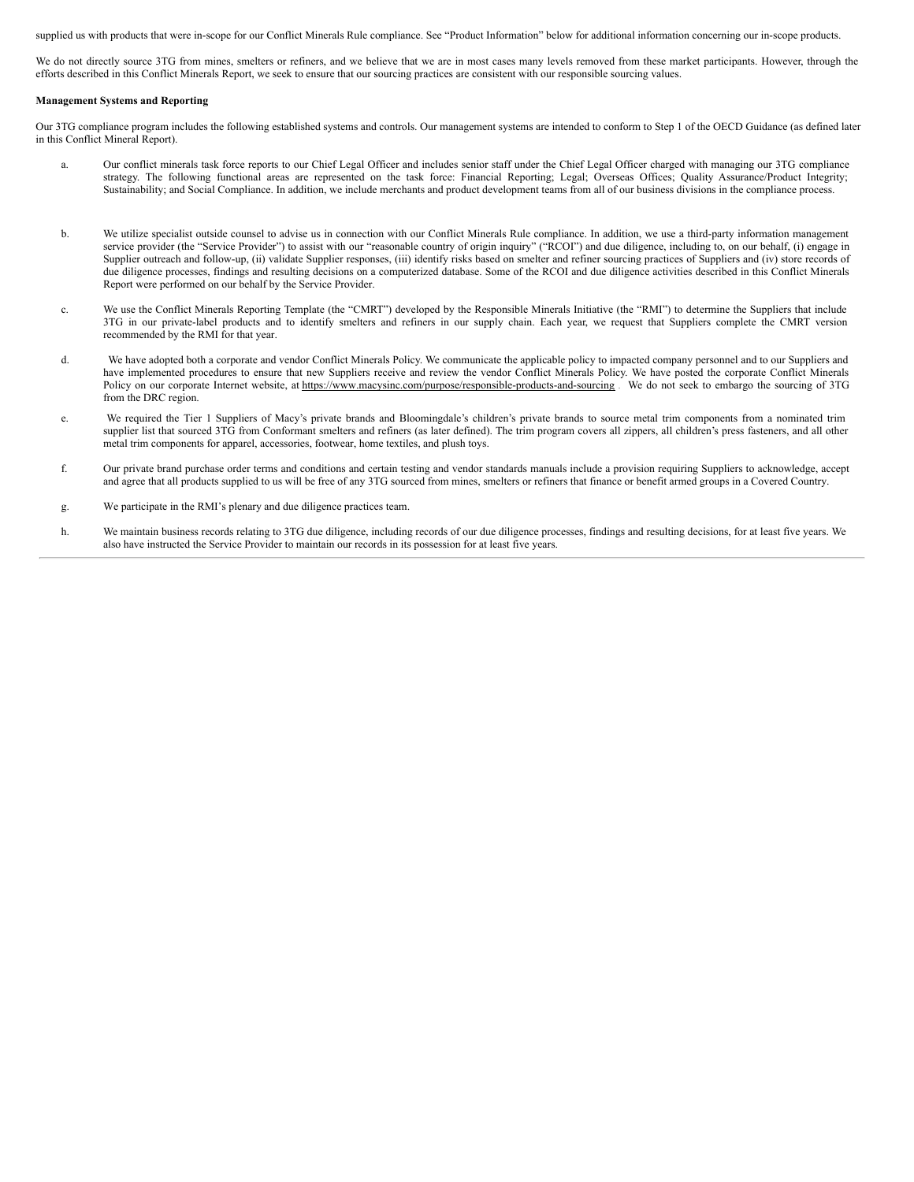supplied us with products that were in-scope for our Conflict Minerals Rule compliance. See "Product Information" below for additional information concerning our in-scope products.

We do not directly source 3TG from mines, smelters or refiners, and we believe that we are in most cases many levels removed from these market participants. However, through the efforts described in this Conflict Minerals Report, we seek to ensure that our sourcing practices are consistent with our responsible sourcing values.

#### **Management Systems and Reporting**

Our 3TG compliance program includes the following established systems and controls. Our management systems are intended to conform to Step 1 of the OECD Guidance (as defined later in this Conflict Mineral Report).

- a. Our conflict minerals task force reports to our Chief Legal Officer and includes senior staff under the Chief Legal Officer charged with managing our 3TG compliance strategy. The following functional areas are represented on the task force: Financial Reporting; Legal; Overseas Offices; Quality Assurance/Product Integrity; Sustainability; and Social Compliance. In addition, we include merchants and product development teams from all of our business divisions in the compliance process.
- b. We utilize specialist outside counsel to advise us in connection with our Conflict Minerals Rule compliance. In addition, we use a third-party information management service provider (the "Service Provider") to assist with our "reasonable country of origin inquiry" ("RCOI") and due diligence, including to, on our behalf, (i) engage in Supplier outreach and follow-up, (ii) validate Supplier responses, (iii) identify risks based on smelter and refiner sourcing practices of Suppliers and (iv) store records of due diligence processes, findings and resulting decisions on a computerized database. Some of the RCOI and due diligence activities described in this Conflict Minerals Report were performed on our behalf by the Service Provider.
- c. We use the Conflict Minerals Reporting Template (the "CMRT") developed by the Responsible Minerals Initiative (the "RMI") to determine the Suppliers that include 3TG in our private-label products and to identify smelters and refiners in our supply chain. Each year, we request that Suppliers complete the CMRT version recommended by the RMI for that year.
- d. We have adopted both a corporate and vendor Conflict Minerals Policy. We communicate the applicable policy to impacted company personnel and to our Suppliers and have implemented procedures to ensure that new Suppliers receive and review the vendor Conflict Minerals Policy. We have posted the corporate Conflict Minerals Policy on our corporate Internet website, at https://www.macysinc.com/purpose/responsible-products-and-sourcing . We do not seek to embargo the sourcing of 3TG from the DRC region.
- e. We required the Tier 1 Suppliers of Macy's private brands and Bloomingdale's children's private brands to source metal trim components from a nominated trim supplier list that sourced 3TG from Conformant smelters and refiners (as later defined). The trim program covers all zippers, all children's press fasteners, and all other metal trim components for apparel, accessories, footwear, home textiles, and plush toys.
- f. Our private brand purchase order terms and conditions and certain testing and vendor standards manuals include a provision requiring Suppliers to acknowledge, accept and agree that all products supplied to us will be free of any 3TG sourced from mines, smelters or refiners that finance or benefit armed groups in a Covered Country.
- g. We participate in the RMI's plenary and due diligence practices team.
- h. We maintain business records relating to 3TG due diligence, including records of our due diligence processes, findings and resulting decisions, for at least five years. We also have instructed the Service Provider to maintain our records in its possession for at least five years.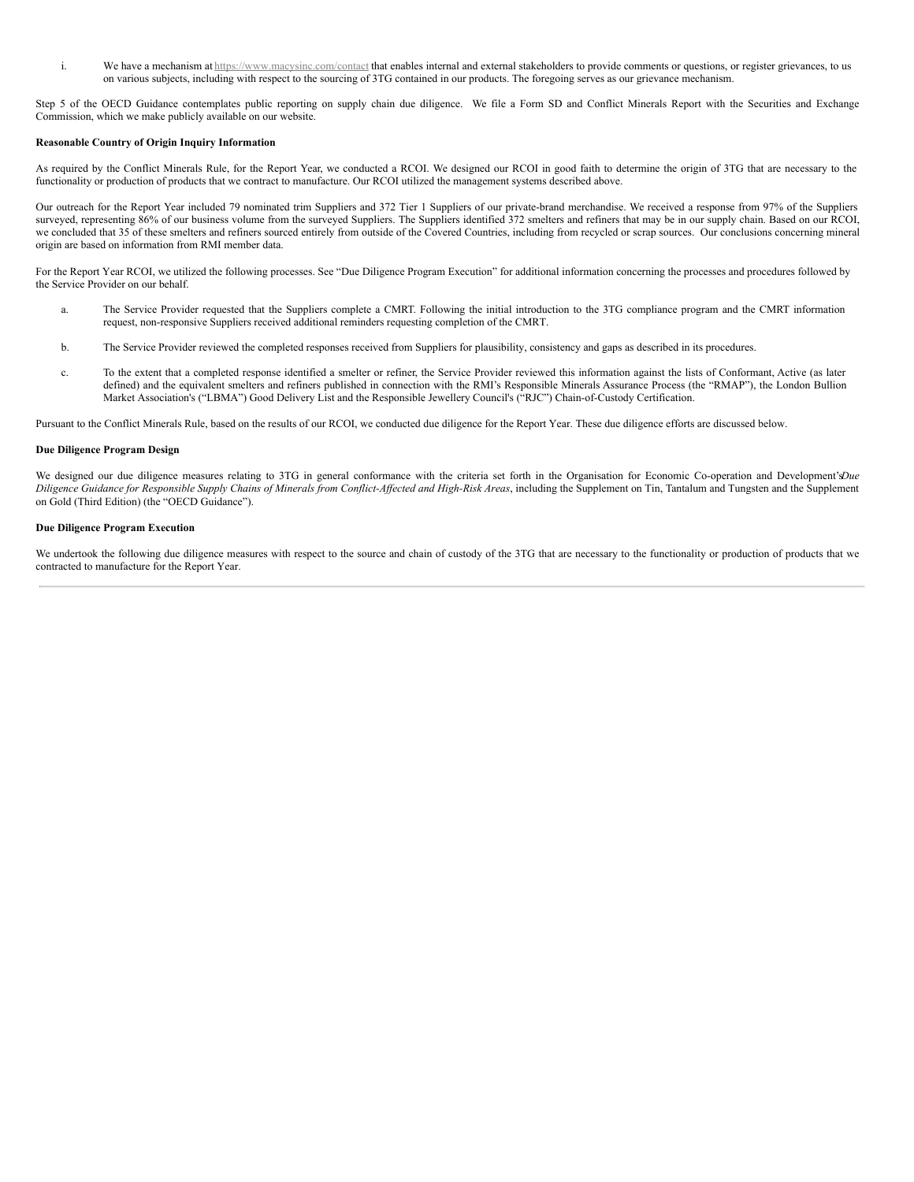i. We have a mechanism at https://www.macysinc.com/contact that enables internal and external stakeholders to provide comments or questions, or register grievances, to us on various subjects, including with respect to the sourcing of 3TG contained in our products. The foregoing serves as our grievance mechanism.

Step 5 of the OECD Guidance contemplates public reporting on supply chain due diligence. We file a Form SD and Conflict Minerals Report with the Securities and Exchange Commission, which we make publicly available on our website.

### **Reasonable Country of Origin Inquiry Information**

As required by the Conflict Minerals Rule, for the Report Year, we conducted a RCOI. We designed our RCOI in good faith to determine the origin of 3TG that are necessary to the functionality or production of products that we contract to manufacture. Our RCOI utilized the management systems described above.

Our outreach for the Report Year included 79 nominated trim Suppliers and 372 Tier 1 Suppliers of our private-brand merchandise. We received a response from 97% of the Suppliers surveyed, representing 86% of our business volume from the surveyed Suppliers. The Suppliers identified 372 smelters and refiners that may be in our supply chain. Based on our RCOI, we concluded that 35 of these smelters and refiners sourced entirely from outside of the Covered Countries, including from recycled or scrap sources. Our conclusions concerning mineral origin are based on information from RMI member data.

For the Report Year RCOI, we utilized the following processes. See "Due Diligence Program Execution" for additional information concerning the processes and procedures followed by the Service Provider on our behalf.

- a. The Service Provider requested that the Suppliers complete a CMRT. Following the initial introduction to the 3TG compliance program and the CMRT information request, non-responsive Suppliers received additional reminders requesting completion of the CMRT.
- b. The Service Provider reviewed the completed responses received from Suppliers for plausibility, consistency and gaps as described in its procedures.
- c. To the extent that a completed response identified a smelter or refiner, the Service Provider reviewed this information against the lists of Conformant, Active (as later defined) and the equivalent smelters and refiners published in connection with the RMI's Responsible Minerals Assurance Process (the "RMAP"), the London Bullion Market Association's ("LBMA") Good Delivery List and the Responsible Jewellery Council's ("RJC") Chain-of-Custody Certification.

Pursuant to the Conflict Minerals Rule, based on the results of our RCOI, we conducted due diligence for the Report Year. These due diligence efforts are discussed below.

## **Due Diligence Program Design**

We designed our due diligence measures relating to 3TG in general conformance with the criteria set forth in the Organisation for Economic Co-operation and Development'sDue Diligence Guidance for Responsible Supply Chains of Minerals from Conflict-Affected and High-Risk Areas, including the Supplement on Tin, Tantalum and Tungsten and the Supplement on Gold (Third Edition) (the "OECD Guidance").

#### **Due Diligence Program Execution**

We undertook the following due diligence measures with respect to the source and chain of custody of the 3TG that are necessary to the functionality or production of products that we contracted to manufacture for the Report Year.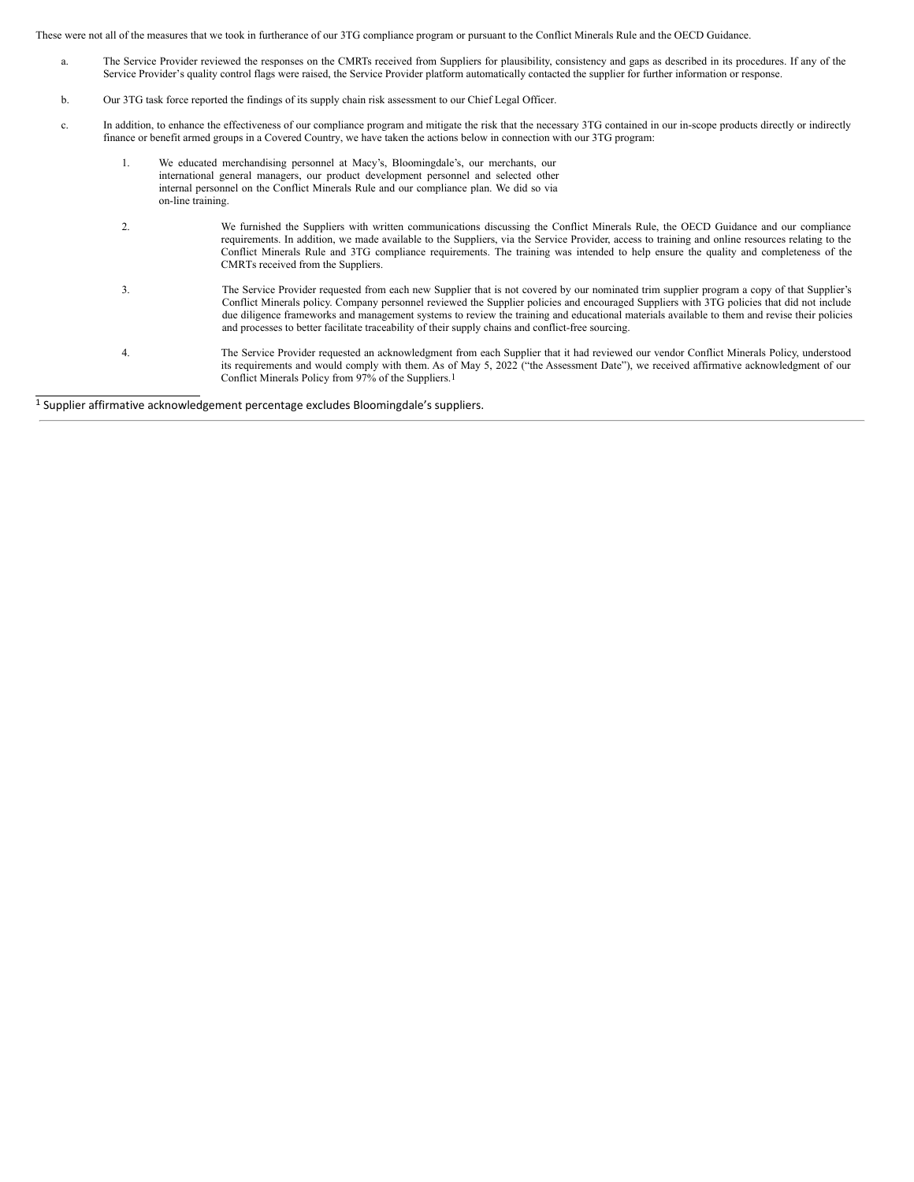These were not all of the measures that we took in furtherance of our 3TG compliance program or pursuant to the Conflict Minerals Rule and the OECD Guidance.

- a. The Service Provider reviewed the responses on the CMRTs received from Suppliers for plausibility, consistency and gaps as described in its procedures. If any of the Service Provider's quality control flags were raised, the Service Provider platform automatically contacted the supplier for further information or response.
- b. Our 3TG task force reported the findings of its supply chain risk assessment to our Chief Legal Officer.
- c. In addition, to enhance the effectiveness of our compliance program and mitigate the risk that the necessary 3TG contained in our in-scope products directly or indirectly finance or benefit armed groups in a Covered Country, we have taken the actions below in connection with our 3TG program:
	- 1. We educated merchandising personnel at Macy's, Bloomingdale's, our merchants, our international general managers, our product development personnel and selected other internal personnel on the Conflict Minerals Rule and our compliance plan. We did so via on-line training.
	- 2. We furnished the Suppliers with written communications discussing the Conflict Minerals Rule, the OECD Guidance and our compliance requirements. In addition, we made available to the Suppliers, via the Service Provider, access to training and online resources relating to the Conflict Minerals Rule and 3TG compliance requirements. The training was intended to help ensure the quality and completeness of the CMRTs received from the Suppliers.
	- 3. The Service Provider requested from each new Supplier that is not covered by our nominated trim supplier program a copy of that Supplier's Conflict Minerals policy. Company personnel reviewed the Supplier policies and encouraged Suppliers with 3TG policies that did not include due diligence frameworks and management systems to review the training and educational materials available to them and revise their policies and processes to better facilitate traceability of their supply chains and conflict-free sourcing.
	- 4. The Service Provider requested an acknowledgment from each Supplier that it had reviewed our vendor Conflict Minerals Policy, understood its requirements and would comply with them. As of May 5, 2022 ("the Assessment Date"), we received affirmative acknowledgment of our Conflict Minerals Policy from 97% of the Suppliers.1

<sup>1</sup> Supplier affirmative acknowledgement percentage excludes Bloomingdale's suppliers.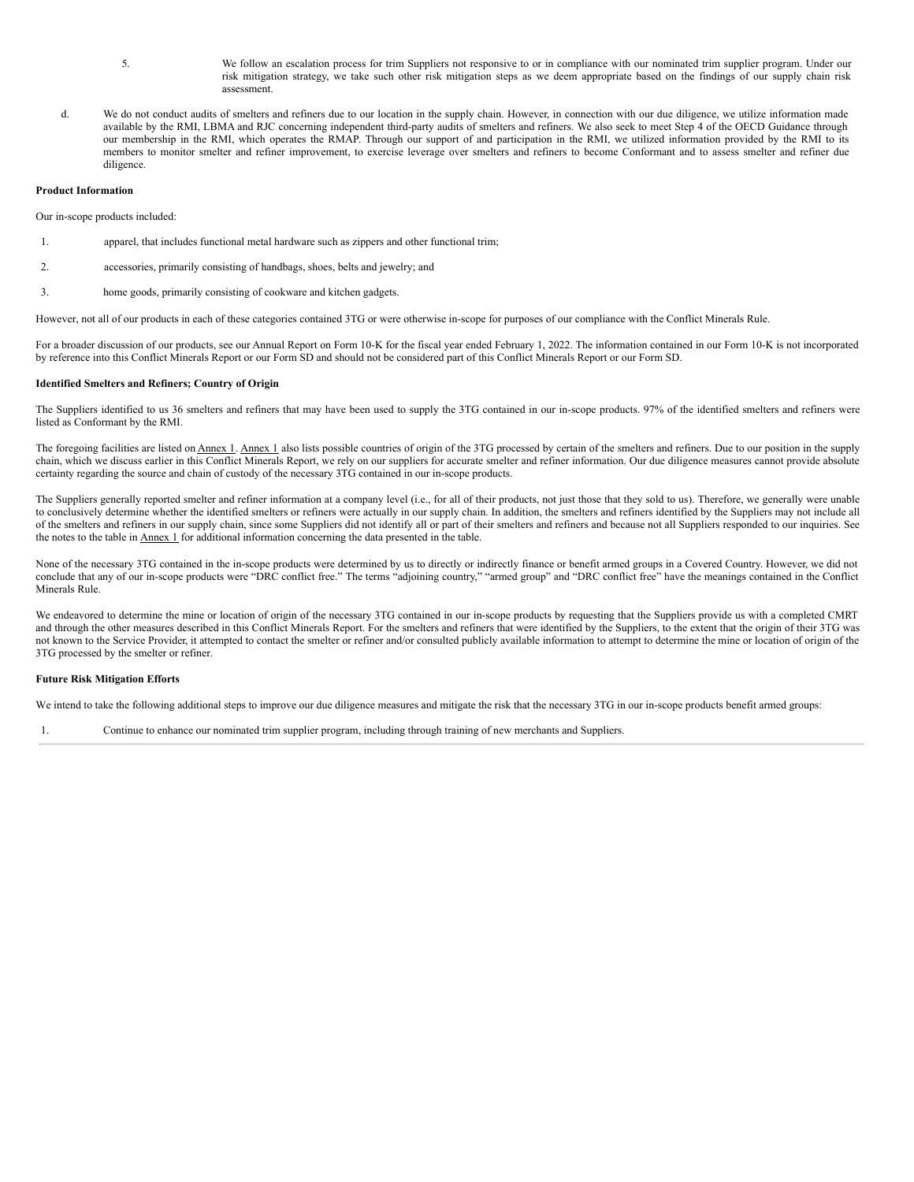- <span id="page-8-0"></span>5. We follow an escalation process for trim Suppliers not responsive to or in compliance with our nominated trim supplier program. Under our risk mitigation strategy, we take such other risk mitigation steps as we deem appropriate based on the findings of our supply chain risk assessment.
- d. We do not conduct audits of smelters and refiners due to our location in the supply chain. However, in connection with our due diligence, we utilize information made available by the RMI, LBMA and RJC concerning independent third-party audits of smelters and refiners. We also seek to meet Step 4 of the OECD Guidance through our membership in the RMI, which operates the RMAP. Through our support of and participation in the RMI, we utilized information provided by the RMI to its members to monitor smelter and refiner improvement, to exercise leverage over smelters and refiners to become Conformant and to assess smelter and refiner due diligence.

#### **Product Information**

Our in-scope products included:

- 1. apparel, that includes functional metal hardware such as zippers and other functional trim;
- 2. accessories, primarily consisting of handbags, shoes, belts and jewelry; and
- 3. home goods, primarily consisting of cookware and kitchen gadgets.

However, not all of our products in each of these categories contained 3TG or were otherwise in-scope for purposes of our compliance with the Conflict Minerals Rule.

For a broader discussion of our products, see our Annual Report on Form 10-K for the fiscal year ended February 1, 2022. The information contained in our Form 10-K is not incorporated by reference into this Conflict Minerals Report or our Form SD and should not be considered part of this Conflict Minerals Report or our Form SD.

#### **Identified Smelters and Refiners; Country of Origin**

The Suppliers identified to us 36 smelters and refiners that may have been used to supply the 3TG contained in our in-scope products. 97% of the identified smelters and refiners were listed as Conformant by the RMI.

The foregoing facilities are listed on Annex 1. Annex 1 also lists possible countries of origin of the 3TG processed by certain of the smelters and refiners. Due to our position in the supply chain, which we discuss earlier in this Conflict Minerals Report, we rely on our suppliers for accurate smelter and refiner information. Our due diligence measures cannot provide absolute certainty regarding the source and chain of custody of the necessary 3TG contained in our in-scope products.

The Suppliers generally reported smelter and refiner information at a company level (i.e., for all of their products, not just those that they sold to us). Therefore, we generally were unable to conclusively determine whether the identified smelters or refiners were actually in our supply chain. In addition, the smelters and refiners identified by the Suppliers may not include all of the smelters and refiners in our supply chain, since some Suppliers did not identify all or part of their smelters and refiners and because not all Suppliers responded to our inquiries. See the notes to the table in  $\Delta$ nnex 1</u> for additional information concerning the data presented in the table.

None of the necessary 3TG contained in the in-scope products were determined by us to directly or indirectly finance or benefit armed groups in a Covered Country. However, we did not conclude that any of our in-scope products were "DRC conflict free." The terms "adjoining country," "armed group" and "DRC conflict free" have the meanings contained in the Conflict Minerals Rule.

We endeavored to determine the mine or location of origin of the necessary 3TG contained in our in-scope products by requesting that the Suppliers provide us with a completed CMRT and through the other measures described in this Conflict Minerals Report. For the smelters and refiners that were identified by the Suppliers, to the extent that the origin of their 3TG was not known to the Service Provider, it attempted to contact the smelter or refiner and/or consulted publicly available information to attempt to determine the mine or location of origin of the 3TG processed by the smelter or refiner.

#### **Future Risk Mitigation Efforts**

We intend to take the following additional steps to improve our due diligence measures and mitigate the risk that the necessary 3TG in our in-scope products benefit armed groups:

1. Continue to enhance our nominated trim supplier program, including through training of new merchants and Suppliers.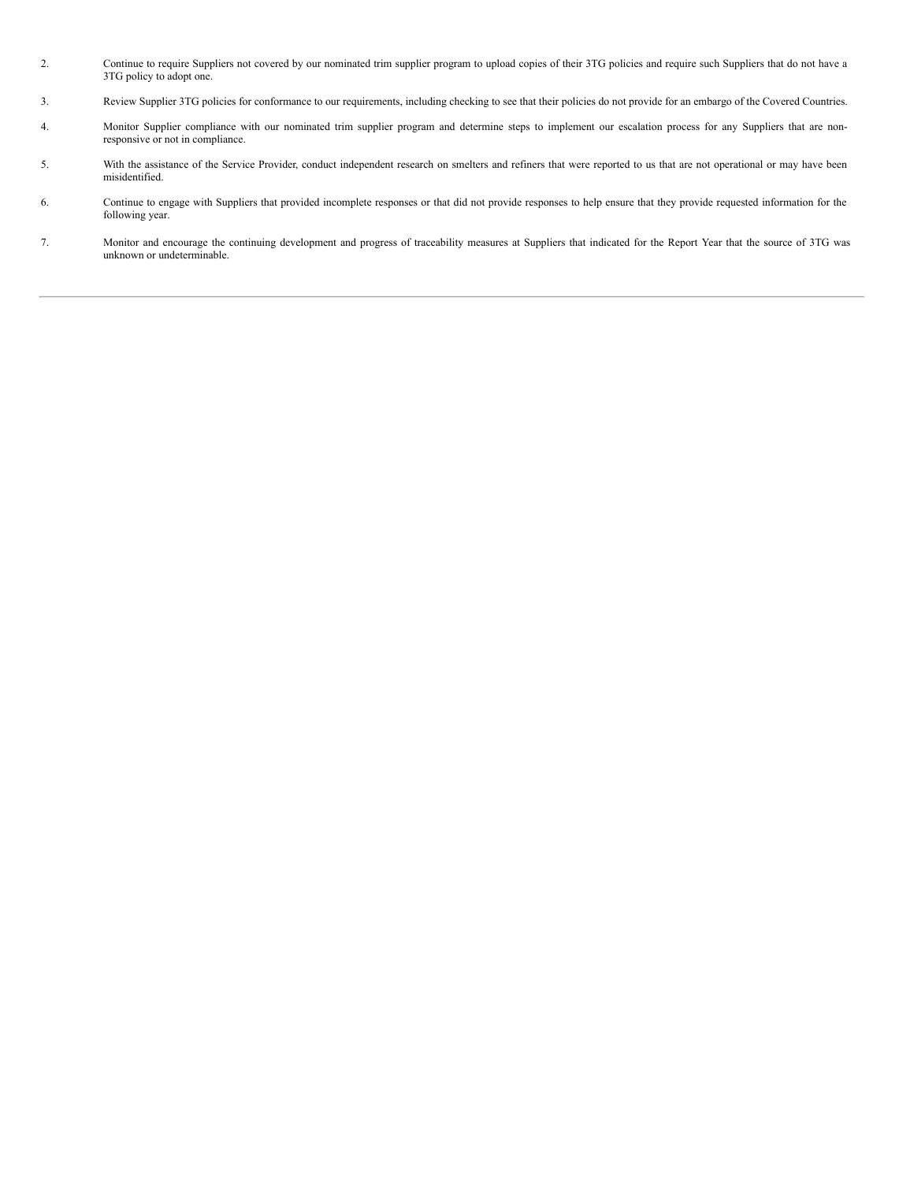- 2. Continue to require Suppliers not covered by our nominated trim supplier program to upload copies of their 3TG policies and require such Suppliers that do not have a 3TG policy to adopt one.
- 3. Review Supplier 3TG policies for conformance to our requirements, including checking to see that their policies do not provide for an embargo of the Covered Countries.
- 4. Monitor Supplier compliance with our nominated trim supplier program and determine steps to implement our escalation process for any Suppliers that are nonresponsive or not in compliance.
- 5. With the assistance of the Service Provider, conduct independent research on smelters and refiners that were reported to us that are not operational or may have been misidentified.
- 6. Continue to engage with Suppliers that provided incomplete responses or that did not provide responses to help ensure that they provide requested information for the following year.
- 7. Monitor and encourage the continuing development and progress of traceability measures at Suppliers that indicated for the Report Year that the source of 3TG was unknown or undeterminable.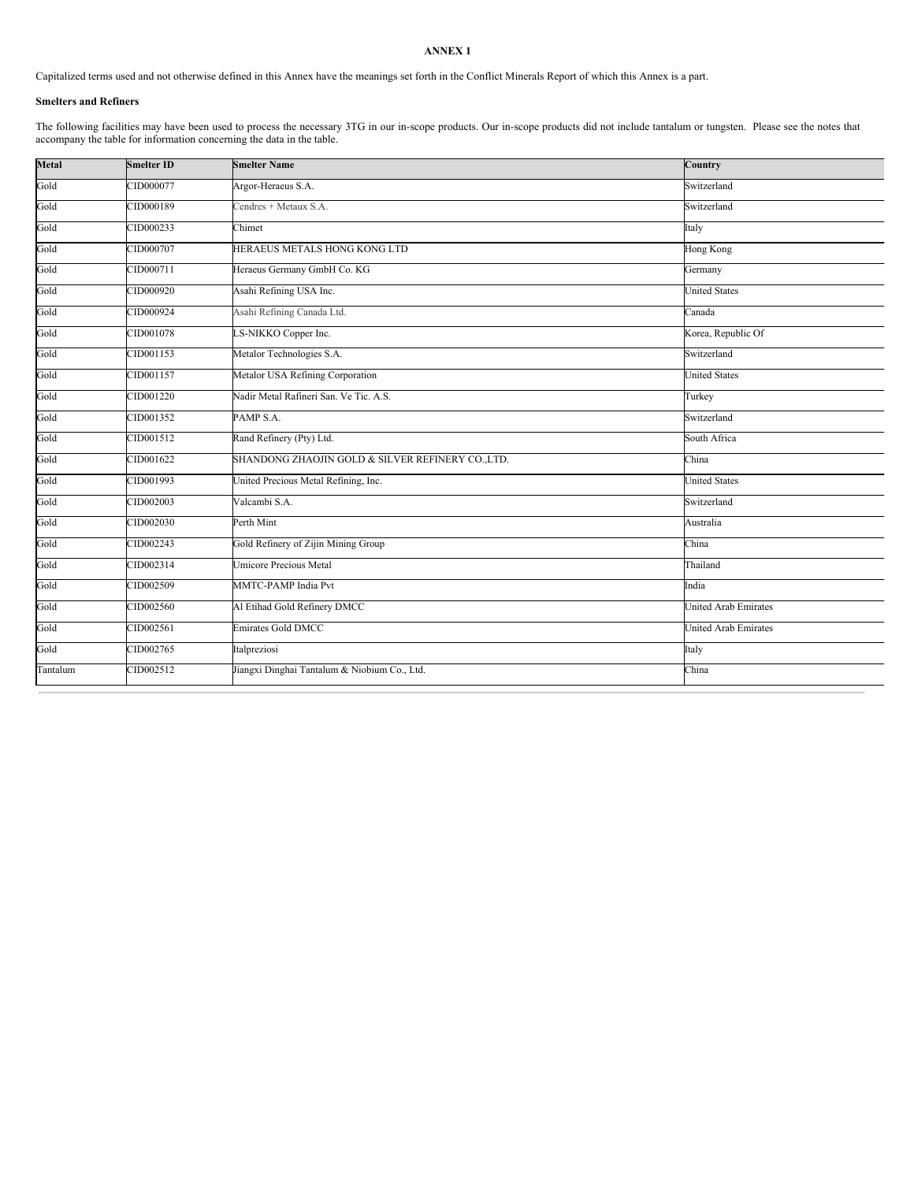## **ANNEX 1**

Capitalized terms used and not otherwise defined in this Annex have the meanings set forth in the Conflict Minerals Report of which this Annex is a part.

## **Smelters and Refiners**

The following facilities may have been used to process the necessary 3TG in our in-scope products. Our in-scope products did not include tantalum or tungsten. Please see the notes that accompany the table for information concerning the data in the table.

| <b>Metal</b> | <b>Smelter ID</b> | <b>Smelter Name</b>                              | Country                     |
|--------------|-------------------|--------------------------------------------------|-----------------------------|
| Gold         | CID000077         | Argor-Heraeus S.A.                               | Switzerland                 |
| Gold         | CID000189         | Cendres + Metaux S.A.                            | Switzerland                 |
| Gold         | CID000233         | Chimet                                           | Italy                       |
| Gold         | CID000707         | HERAEUS METALS HONG KONG LTD                     | Hong Kong                   |
| Gold         | CID000711         | Heraeus Germany GmbH Co. KG                      | Germany                     |
| Gold         | CID000920         | Asahi Refining USA Inc.                          | <b>United States</b>        |
| Gold         | CID000924         | Asahi Refining Canada Ltd.                       | Canada                      |
| Gold         | CID001078         | <b>S-NIKKO</b> Copper Inc.                       | Korea, Republic Of          |
| Gold         | CID001153         | Metalor Technologies S.A.                        | Switzerland                 |
| Gold         | CID001157         | Metalor USA Refining Corporation                 | <b>United States</b>        |
| Gold         | CID001220         | Nadir Metal Rafineri San. Ve Tic. A.S.           | Turkey                      |
| Gold         | CID001352         | PAMP <sub>S.A.</sub>                             | Switzerland                 |
| Gold         | CID001512         | Rand Refinery (Pty) Ltd.                         | South Africa                |
| Gold         | CID001622         | SHANDONG ZHAOJIN GOLD & SILVER REFINERY CO.,LTD. | China                       |
| Gold         | CID001993         | United Precious Metal Refining, Inc.             | <b>United States</b>        |
| Gold         | CID002003         | Valcambi S.A.                                    | Switzerland                 |
| Gold         | CID002030         | Perth Mint                                       | Australia                   |
| Gold         | CID002243         | Gold Refinery of Zijin Mining Group              | China                       |
| Gold         | CID002314         | <b>Umicore Precious Metal</b>                    | Thailand                    |
| Gold         | CID002509         | MMTC-PAMP India Pvt                              | India                       |
| Gold         | CID002560         | Al Etihad Gold Refinery DMCC                     | <b>United Arab Emirates</b> |
| Gold         | CID002561         | <b>Emirates Gold DMCC</b>                        | <b>United Arab Emirates</b> |
| Gold         | CID002765         | Italpreziosi                                     | Italy                       |
| Tantalum     | CID002512         | Jiangxi Dinghai Tantalum & Niobium Co., Ltd.     | China                       |
|              |                   |                                                  |                             |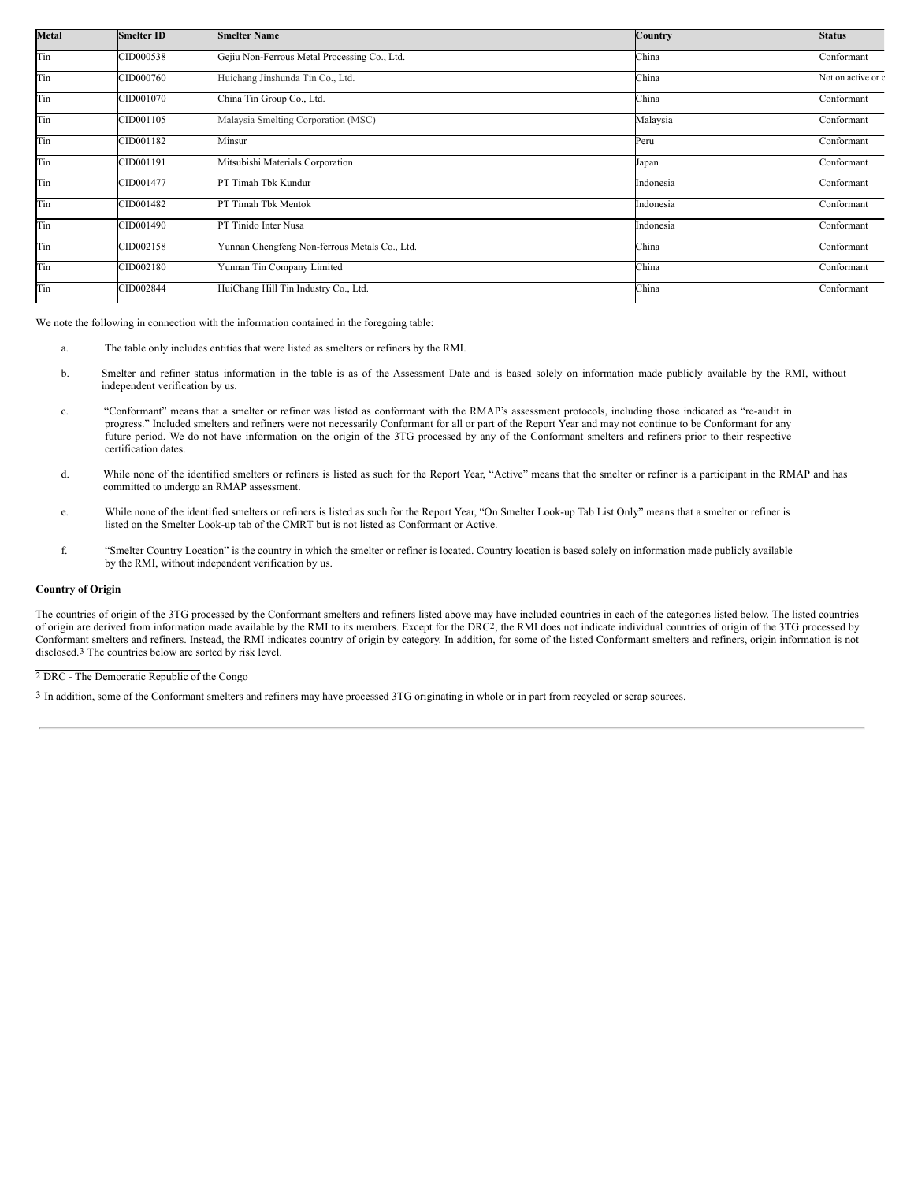| <b>Metal</b> | <b>Smelter ID</b> | <b>Smelter Name</b>                           | Country   | <b>Status</b>      |
|--------------|-------------------|-----------------------------------------------|-----------|--------------------|
| Tin          | CID000538         | Gejiu Non-Ferrous Metal Processing Co., Ltd.  | China     | Conformant         |
| Tin          | CID000760         | Huichang Jinshunda Tin Co., Ltd.              | China     | Not on active or c |
| Tin          | CID001070         | China Tin Group Co., Ltd.                     | China     | Conformant         |
| Tin          | CID001105         | Malaysia Smelting Corporation (MSC)           | Malaysia  | Conformant         |
| Tin          | CID001182         | Minsur                                        | Peru      | Conformant         |
| Tin          | CID001191         | Mitsubishi Materials Corporation              | Japan     | Conformant         |
| Tin          | CID001477         | PT Timah Tbk Kundur                           | Indonesia | Conformant         |
| Tin          | CID001482         | PT Timah Tbk Mentok                           | Indonesia | Conformant         |
| Tin          | CID001490         | PT Tinido Inter Nusa                          | Indonesia | Conformant         |
| Tin          | CID002158         | Yunnan Chengfeng Non-ferrous Metals Co., Ltd. | China     | Conformant         |
| Tin          | CID002180         | Yunnan Tin Company Limited                    | China     | Conformant         |
| Tin          | CID002844         | HuiChang Hill Tin Industry Co., Ltd.          | China     | Conformant         |

We note the following in connection with the information contained in the foregoing table:

- a. The table only includes entities that were listed as smelters or refiners by the RMI.
- b. Smelter and refiner status information in the table is as of the Assessment Date and is based solely on information made publicly available by the RMI, without independent verification by us.
- c. "Conformant" means that a smelter or refiner was listed as conformant with the RMAP's assessment protocols, including those indicated as "re-audit in progress." Included smelters and refiners were not necessarily Conformant for all or part of the Report Year and may not continue to be Conformant for any future period. We do not have information on the origin of the 3TG processed by any of the Conformant smelters and refiners prior to their respective certification dates.
- d. While none of the identified smelters or refiners is listed as such for the Report Year, "Active" means that the smelter or refiner is a participant in the RMAP and has committed to undergo an RMAP assessment.
- e. While none of the identified smelters or refiners is listed as such for the Report Year, "On Smelter Look-up Tab List Only" means that a smelter or refiner is listed on the Smelter Look-up tab of the CMRT but is not listed as Conformant or Active.
- f. "Smelter Country Location" is the country in which the smelter or refiner is located. Country location is based solely on information made publicly available by the RMI, without independent verification by us.

### **Country of Origin**

The countries of origin of the 3TG processed by the Conformant smelters and refiners listed above may have included countries in each of the categories listed below. The listed countries of origin are derived from information made available by the RMI to its members. Except for the DRC2, the RMI does not indicate individual countries of origin of the 3TG processed by Conformant smelters and refiners. Instead, the RMI indicates country of origin by category. In addition, for some of the listed Conformant smelters and refiners, origin information is not disclosed.3 The countries below are sorted by risk level.

## 2 DRC - The Democratic Republic of the Congo

3 In addition, some of the Conformant smelters and refiners may have processed 3TG originating in whole or in part from recycled or scrap sources.